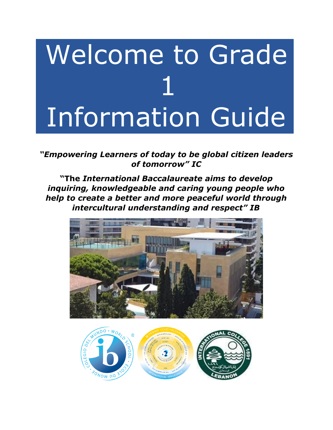# Welcome to Grade 1 Information Guide

*"Empowering Learners of today to be global citizen leaders of tomorrow" IC*

**"The** *International Baccalaureate aims to develop inquiring, knowledgeable and caring young people who help to create a better and more peaceful world through intercultural understanding and respect" IB*



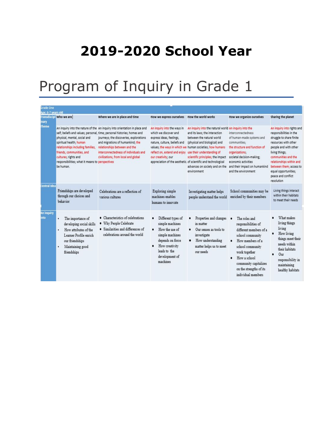### **2019-2020 School Year**

### Program of Inquiry in Grade 1

| Grade One                 |                                                                                                                                                                                                                   |                                                                                                                                                                                                                                                                                                                                                        |                                                                                                                                                                                                    |                                                                                                                                                                                                                                                                                                                                                                          |                                                                                                                                                                                                                                                  |                                                                                                                                                                                                                                                                                                |
|---------------------------|-------------------------------------------------------------------------------------------------------------------------------------------------------------------------------------------------------------------|--------------------------------------------------------------------------------------------------------------------------------------------------------------------------------------------------------------------------------------------------------------------------------------------------------------------------------------------------------|----------------------------------------------------------------------------------------------------------------------------------------------------------------------------------------------------|--------------------------------------------------------------------------------------------------------------------------------------------------------------------------------------------------------------------------------------------------------------------------------------------------------------------------------------------------------------------------|--------------------------------------------------------------------------------------------------------------------------------------------------------------------------------------------------------------------------------------------------|------------------------------------------------------------------------------------------------------------------------------------------------------------------------------------------------------------------------------------------------------------------------------------------------|
| Age: 6-7 years old        |                                                                                                                                                                                                                   |                                                                                                                                                                                                                                                                                                                                                        |                                                                                                                                                                                                    |                                                                                                                                                                                                                                                                                                                                                                          |                                                                                                                                                                                                                                                  |                                                                                                                                                                                                                                                                                                |
| nary                      | <b>Transdiscipl</b> Who we are                                                                                                                                                                                    | Where we are in place and time                                                                                                                                                                                                                                                                                                                         | How we express ourselves                                                                                                                                                                           | How the world works                                                                                                                                                                                                                                                                                                                                                      | How we organize ourselves                                                                                                                                                                                                                        | Sharing the planet                                                                                                                                                                                                                                                                             |
| <b>Theme</b>              | physical, mental, social and<br>spiritual health; human<br>relationships including families,<br>friends, communities, and<br>cultures; rights and<br>responsibilities; what it means to perspectives<br>be human. | An inquiry into the nature of the An inquiry into orientation in place and<br>self; beliefs and values; personal, time; personal histories; homes and<br>journeys; the discoveries, explorations<br>and migrations of humankind; the<br>relationships between and the<br>interconnectedness of individuals and<br>civilizations, from local and global | An inquiry into the ways in<br>which we discover and<br>express ideas, feelings,<br>nature, culture, beliefs and<br>reflect on, extend and enjoy use their understanding of<br>our creativity; our | An inquiry into the natural world An inquiry into the<br>and its laws; the interaction<br>between the natural world<br>(physical and biological) and<br>values; the ways in which we human societies; how humans<br>scientific principles; the impact<br>appreciation of the aesthetic, of scientific and technological<br>advances on society and on the<br>environment | interconnectedness<br>of human-made systems and<br>communities;<br>the structure and function of<br>organizations;<br>societal decision-making:<br>economic activities<br>and their impact on humankind<br>and the environment                   | An inquiry into rights and<br>responsibilities in the<br>struggle to share finite<br>resources with other<br>people and with other<br>living things:<br>communities and the<br>relationships within and<br>between them; access to<br>equal opportunities;<br>peace and conflict<br>resolution |
| <b>Central Idea</b>       | Friendships are developed<br>through our choices and<br>behavior                                                                                                                                                  | Celebrations are a reflection of<br>various cultures.                                                                                                                                                                                                                                                                                                  | Exploring simple<br>machines enables<br>humans to innovate                                                                                                                                         | Investigating matter helps<br>people understand the world                                                                                                                                                                                                                                                                                                                | School communities may be<br>enriched by their members                                                                                                                                                                                           | Living things interact<br>within their habitats<br>to meet their needs                                                                                                                                                                                                                         |
| <b>An inquiry</b><br>nto: | The importance of<br>٠<br>developing social skills<br>How attributes of the<br>Learner Profile enrich<br>our friendships<br>Maintaining good<br>friendships                                                       | · Characteristics of celebrations<br>. Why People Celebrate<br>· Similarities and differences of<br>celebrations around the world                                                                                                                                                                                                                      | Different types of<br>simple machines<br>How the use of<br>$\bullet$<br>simple machines<br>depends on force<br>How creativity<br>leads to the<br>development of<br>machines                        | Properties and changes<br>in matter<br>Our senses as tools to<br>٠<br>investigate<br>How understanding<br>٠<br>matter helps us to meet<br>our needs                                                                                                                                                                                                                      | The roles and<br>responsibilities of<br>different members of a<br>school community<br>How members of a<br>٠<br>school community<br>work together<br>How a school<br>٠<br>community capitalizes<br>on the strengths of its<br>individual members. | What makes<br>living things<br>living<br>How living<br>things meet their<br>needs within<br>their habitats<br>Our<br>responsibility in<br>maintaining<br>healthy habitats                                                                                                                      |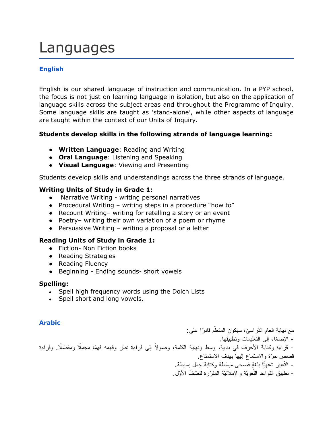### Languages

### **English**

English is our shared language of instruction and communication. In a PYP school, the focus is not just on learning language in isolation, but also on the application of language skills across the subject areas and throughout the Programme of Inquiry. Some language skills are taught as 'stand-alone', while other aspects of language are taught within the context of our Units of Inquiry.

#### **Students develop skills in the following strands of language learning:**

- **Written Language**: Reading and Writing
- **Oral Language**: Listening and Speaking
- **Visual Language**: Viewing and Presenting

Students develop skills and understandings across the three strands of language.

#### **Writing Units of Study in Grade 1:**

- Narrative Writing writing personal narratives
- Procedural Writing writing steps in a procedure "how to"
- Recount Writing– writing for retelling a story or an event
- Poetry– writing their own variation of a poem or rhyme
- $\bullet$  Persuasive Writing writing a proposal or a letter

### **Reading Units of Study in Grade 1:**

- **●** Fiction- Non Fiction books
- **●** Reading Strategies
- **●** Reading Fluency
- **●** Beginning Ending sounds- short vowels

#### **Spelling:**

- Spell high frequency words using the Dolch Lists
- Spell short and long vowels.

#### **Arabic**

مع نهاية العام الدّراسيّ، سيكون المتعلّم قادرًا على: - الإصغاء إلى التّعلیمات وتطبیقها. – قراءة وكتابة الأحرف في بداية، وسط ونهاية الكلمة، وصولاً إلى قراءة نصّ وفهمه فهمًا مجملًا ومفصّلًا. وقراءة قصص ّحرة والاستماع إلیها بهدف الاستمتاع. - التّعبیر شفهیا ٍ بلغة فصحى ّ مبسطة وكتابة جمل بسیطة. - تطبيق القواعد اللّغويّة والإملائيّة المقرّرة للصّفّ الأوّل.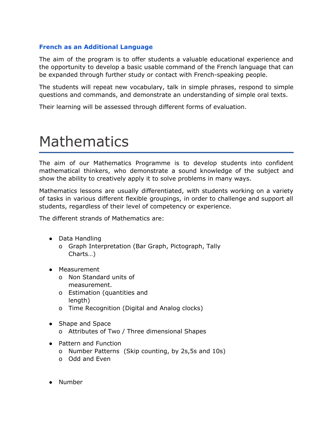#### **French as an Additional Language**

The aim of the program is to offer students a valuable educational experience and the opportunity to develop a basic usable command of the French language that can be expanded through further study or contact with French-speaking people.

The students will repeat new vocabulary, talk in simple phrases, respond to simple questions and commands, and demonstrate an understanding of simple oral texts.

Their learning will be assessed through different forms of evaluation.

### Mathematics

The aim of our Mathematics Programme is to develop students into confident mathematical thinkers, who demonstrate a sound knowledge of the subject and show the ability to creatively apply it to solve problems in many ways.

Mathematics lessons are usually differentiated, with students working on a variety of tasks in various different flexible groupings, in order to challenge and support all students, regardless of their level of competency or experience.

The different strands of Mathematics are:

- Data Handling
	- o Graph Interpretation (Bar Graph, Pictograph, Tally Charts…)
- Measurement
	- o Non Standard units of measurement.
	- o Estimation (quantities and length)
	- o Time Recognition (Digital and Analog clocks)
- Shape and Space
	- o Attributes of Two / Three dimensional Shapes
- Pattern and Function
	- o Number Patterns (Skip counting, by 2s,5s and 10s)
	- o Odd and Even
- Number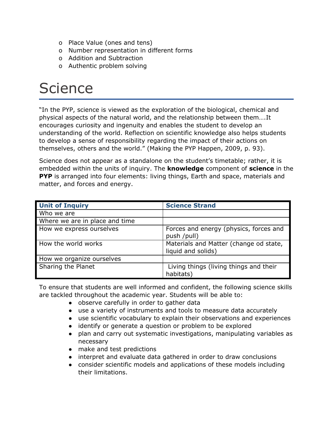- o Place Value (ones and tens)
- o Number representation in different forms
- o Addition and Subtraction
- o Authentic problem solving

### **Science**

"In the PYP, science is viewed as the exploration of the biological, chemical and physical aspects of the natural world, and the relationship between them….It encourages curiosity and ingenuity and enables the student to develop an understanding of the world. Reflection on scientific knowledge also helps students to develop a sense of responsibility regarding the impact of their actions on themselves, others and the world." (Making the PYP Happen, 2009, p. 93).

Science does not appear as a standalone on the student's timetable; rather, it is embedded within the units of inquiry. The **knowledge** component of **science** in the **PYP** is arranged into four elements: living things, Earth and space, materials and matter, and forces and energy.

| <b>Unit of Inquiry</b>         | <b>Science Strand</b>                                        |
|--------------------------------|--------------------------------------------------------------|
| Who we are                     |                                                              |
| Where we are in place and time |                                                              |
| How we express ourselves       | Forces and energy (physics, forces and<br>push /pull)        |
| How the world works            | Materials and Matter (change od state,<br>liquid and solids) |
| How we organize ourselves      |                                                              |
| Sharing the Planet             | Living things (living things and their<br>habitats)          |

To ensure that students are well informed and confident, the following science skills are tackled throughout the academic year. Students will be able to:

- observe carefully in order to gather data
- use a variety of instruments and tools to measure data accurately
- use scientific vocabulary to explain their observations and experiences
- identify or generate a question or problem to be explored
- plan and carry out systematic investigations, manipulating variables as necessary
- make and test predictions
- interpret and evaluate data gathered in order to draw conclusions
- consider scientific models and applications of these models including their limitations.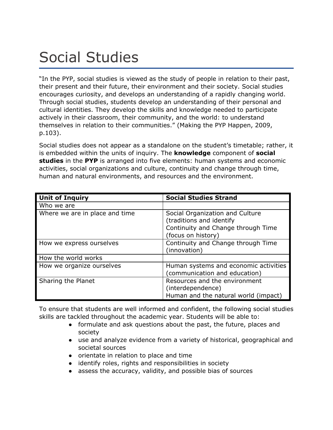### Social Studies

"In the PYP, social studies is viewed as the study of people in relation to their past, their present and their future, their environment and their society. Social studies encourages curiosity, and develops an understanding of a rapidly changing world. Through social studies, students develop an understanding of their personal and cultural identities. They develop the skills and knowledge needed to participate actively in their classroom, their community, and the world: to understand themselves in relation to their communities." (Making the PYP Happen, 2009, p.103).

Social studies does not appear as a standalone on the student's timetable; rather, it is embedded within the units of inquiry. The **knowledge** component of **social studies** in the **PYP** is arranged into five elements: human systems and economic activities, social organizations and culture, continuity and change through time, human and natural environments, and resources and the environment.

| <b>Unit of Inquiry</b>         | <b>Social Studies Strand</b>                                                                                            |  |  |
|--------------------------------|-------------------------------------------------------------------------------------------------------------------------|--|--|
| Who we are                     |                                                                                                                         |  |  |
| Where we are in place and time | Social Organization and Culture<br>(traditions and identify<br>Continuity and Change through Time<br>(focus on history) |  |  |
| How we express ourselves       | Continuity and Change through Time<br>(innovation)                                                                      |  |  |
| How the world works            |                                                                                                                         |  |  |
| How we organize ourselves      | Human systems and economic activities<br>(communication and education)                                                  |  |  |
| Sharing the Planet             | Resources and the environment<br>(interdependence)<br>Human and the natural world (impact)                              |  |  |

To ensure that students are well informed and confident, the following social studies skills are tackled throughout the academic year. Students will be able to:

- formulate and ask questions about the past, the future, places and society
- use and analyze evidence from a variety of historical, geographical and societal sources
- orientate in relation to place and time
- identify roles, rights and responsibilities in society
- assess the accuracy, validity, and possible bias of sources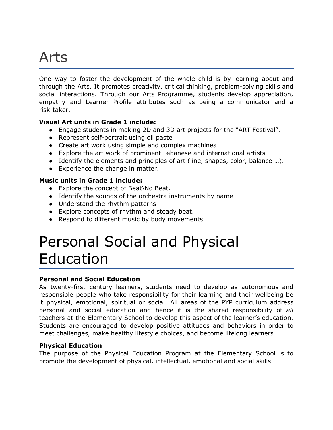### Arts

One way to foster the development of the whole child is by learning about and through the Arts. It promotes creativity, critical thinking, problem-solving skills and social interactions. Through our Arts Programme, students develop appreciation, empathy and Learner Profile attributes such as being a communicator and a risk-taker.

### **Visual Art units in Grade 1 include:**

- Engage students in making 2D and 3D art projects for the "ART Festival".
- Represent self-portrait using oil pastel
- Create art work using simple and complex machines
- Explore the art work of prominent Lebanese and international artists
- Identify the elements and principles of art (line, shapes, color, balance …).
- Experience the change in matter.

### **Music units in Grade 1 include:**

- Explore the concept of Beat\No Beat.
- Identify the sounds of the orchestra instruments by name
- Understand the rhythm patterns
- Explore concepts of rhythm and steady beat.
- Respond to different music by body movements.

### Personal Social and Physical Education

### **Personal and Social Education**

As twenty-first century learners, students need to develop as autonomous and responsible people who take responsibility for their learning and their wellbeing be it physical, emotional, spiritual or social. All areas of the PYP curriculum address personal and social education and hence it is the shared responsibility of *all* teachers at the Elementary School to develop this aspect of the learner's education. Students are encouraged to develop positive attitudes and behaviors in order to meet challenges, make healthy lifestyle choices, and become lifelong learners.

#### **Physical Education**

The purpose of the Physical Education Program at the Elementary School is to promote the development of physical, intellectual, emotional and social skills.